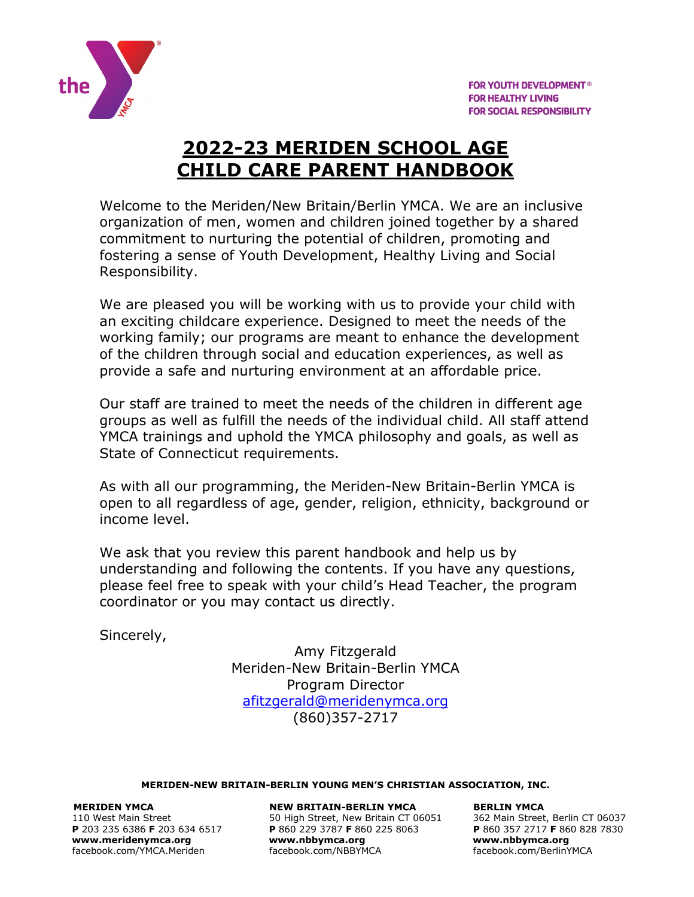

# **2022-23 MERIDEN SCHOOL AGE CHILD CARE PARENT HANDBOOK**

Welcome to the Meriden/New Britain/Berlin YMCA. We are an inclusive organization of men, women and children joined together by a shared commitment to nurturing the potential of children, promoting and fostering a sense of Youth Development, Healthy Living and Social Responsibility.

We are pleased you will be working with us to provide your child with an exciting childcare experience. Designed to meet the needs of the working family; our programs are meant to enhance the development of the children through social and education experiences, as well as provide a safe and nurturing environment at an affordable price.

Our staff are trained to meet the needs of the children in different age groups as well as fulfill the needs of the individual child. All staff attend YMCA trainings and uphold the YMCA philosophy and goals, as well as State of Connecticut requirements.

As with all our programming, the Meriden-New Britain-Berlin YMCA is open to all regardless of age, gender, religion, ethnicity, background or income level.

We ask that you review this parent handbook and help us by understanding and following the contents. If you have any questions, please feel free to speak with your child's Head Teacher, the program coordinator or you may contact us directly.

Sincerely,

Amy Fitzgerald Meriden-New Britain-Berlin YMCA Program Director [afitzgerald@meridenymca.org](mailto:afitzgerald@meridenymca.org) (860)357-2717

#### **MERIDEN-NEW BRITAIN-BERLIN YOUNG MEN'S CHRISTIAN ASSOCIATION, INC.**

**[www.meridenymca.org](http://www.meridenymca.org/) www[.nbbymca.org](http://www.meridenymca.org/) www.nbbymca.org**

**MERIDEN YMCA NEW BRITAIN-BERLIN YMCA BERLIN YMCA**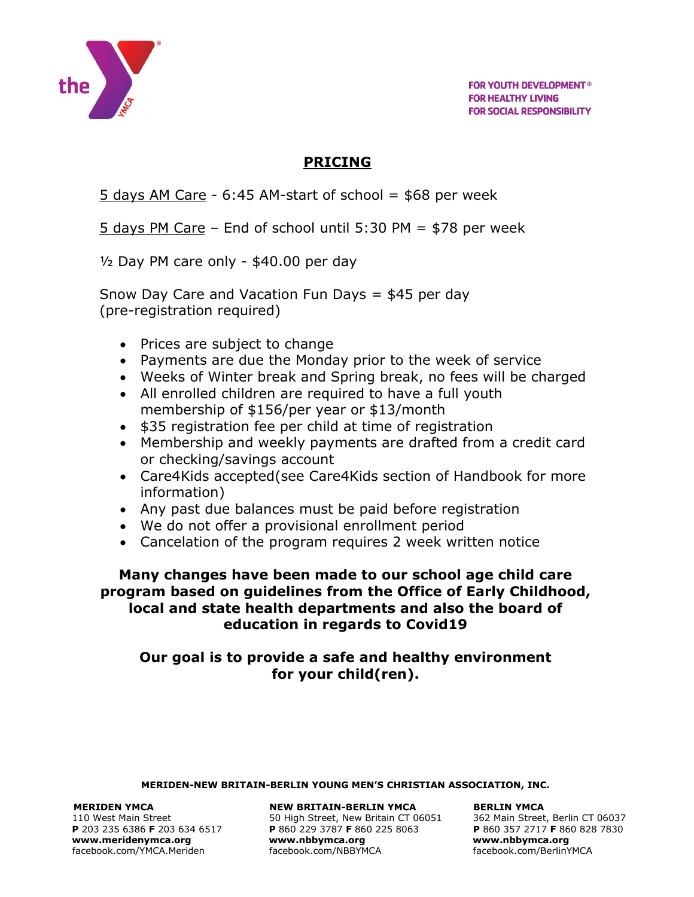

**FOR YOUTH DEVELOPMENT® FOR HEALTHY LIVING FOR SOCIAL RESPONSIBILITY** 

## **PRICING**

5 days AM Care -  $6:45$  AM-start of school =  $$68$  per week

5 days PM Care – End of school until 5:30 PM = \$78 per week

 $\frac{1}{2}$  Day PM care only - \$40.00 per day

Snow Day Care and Vacation Fun Days = \$45 per day (pre-registration required)

- Prices are subject to change
- Payments are due the Monday prior to the week of service
- Weeks of Winter break and Spring break, no fees will be charged
- All enrolled children are required to have a full youth membership of \$156/per year or \$13/month
- \$35 registration fee per child at time of registration
- Membership and weekly payments are drafted from a credit card or checking/savings account
- Care4Kids accepted(see Care4Kids section of Handbook for more information)
- Any past due balances must be paid before registration
- We do not offer a provisional enrollment period
- Cancelation of the program requires 2 week written notice

**Many changes have been made to our school age child care program based on guidelines from the Office of Early Childhood, local and state health departments and also the board of education in regards to Covid19**

## **Our goal is to provide a safe and healthy environment for your child(ren).**

**MERIDEN-NEW BRITAIN-BERLIN YOUNG MEN'S CHRISTIAN ASSOCIATION, INC.**

#### **MERIDEN YMCA NEW BRITAIN-BERLIN YMCA BERLIN YMCA**

110 West Main Street 634 6517 50 High Street, New Britain CT 06051 362 Main Street, Berlin CT 06037<br>
110 West Main Street, Berlin CT 06037 5060 925 8063 **P** 860 357 2717 **F** 860 828 7830 **P** 203 235 6386 **F** 203 634 6517 **P** 860 229 3787 **F** 860 225 8063 **P** 860 357 2717 **F** 860 828 7830 **[www.meridenymca.org](http://www.meridenymca.org/) www[.nbbymca.org](http://www.meridenymca.org/) www.nbbymca.org** facebook.com/YMCA.Meriden facebook.com/NBBYMCA facebook.com/BerlinYMCA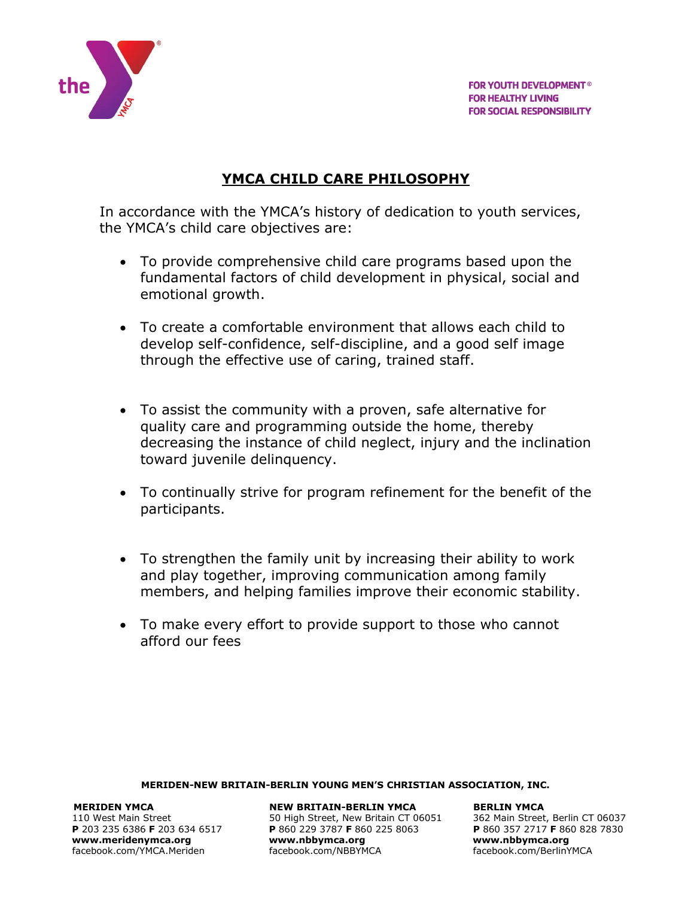

# **YMCA CHILD CARE PHILOSOPHY**

In accordance with the YMCA's history of dedication to youth services, the YMCA's child care objectives are:

- To provide comprehensive child care programs based upon the fundamental factors of child development in physical, social and emotional growth.
- To create a comfortable environment that allows each child to develop self-confidence, self-discipline, and a good self image through the effective use of caring, trained staff.
- To assist the community with a proven, safe alternative for quality care and programming outside the home, thereby decreasing the instance of child neglect, injury and the inclination toward juvenile delinquency.
- To continually strive for program refinement for the benefit of the participants.
- To strengthen the family unit by increasing their ability to work and play together, improving communication among family members, and helping families improve their economic stability.
- To make every effort to provide support to those who cannot afford our fees

#### **MERIDEN-NEW BRITAIN-BERLIN YOUNG MEN'S CHRISTIAN ASSOCIATION, INC.**

facebook.com/YMCA.Meriden

**MERIDEN YMCA NEW BRITAIN-BERLIN YMCA BERLIN YMCA** 

110 West Main Street 60037<br>
110 West Main Street, Berlin CT 06037<br>
1203 235 6386 F 203 634 6517 P 860 229 3787 F 860 225 8063<br>
1206 P 860 357 2717 F 860 828 7830 **P** 860 229 3787 **F** 860 225 8063 **P** 860 357 2717 **F** 86<br>www.nbbymca.org www.nbbymca.org **[www.meridenymca.org](http://www.meridenymca.org/) www[.nbbymca.org](http://www.meridenymca.org/) www.nbbymca.org**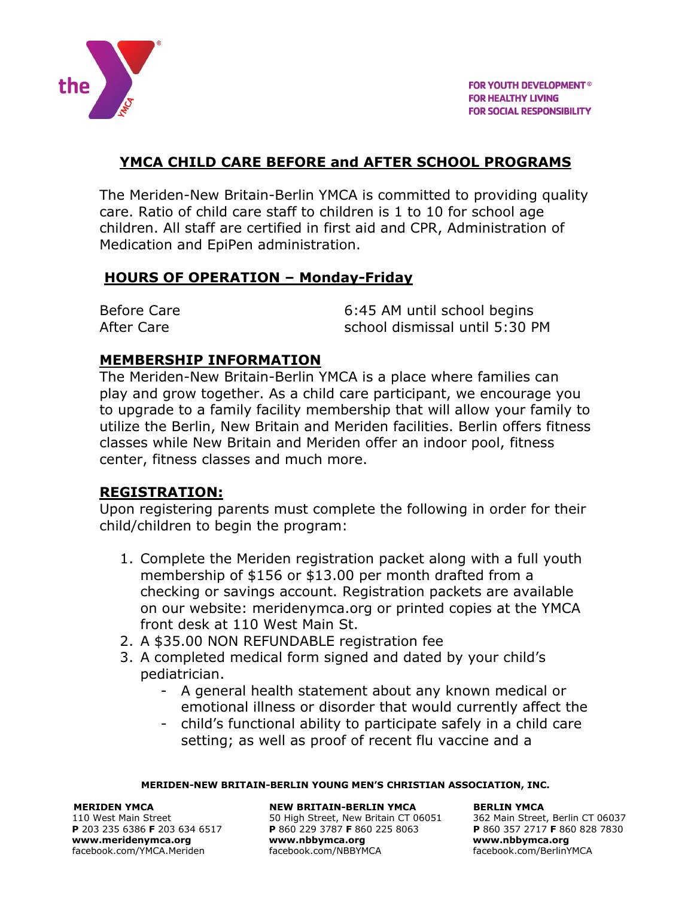

## **YMCA CHILD CARE BEFORE and AFTER SCHOOL PROGRAMS**

The Meriden-New Britain-Berlin YMCA is committed to providing quality care. Ratio of child care staff to children is 1 to 10 for school age children. All staff are certified in first aid and CPR, Administration of Medication and EpiPen administration.

## **HOURS OF OPERATION – Monday-Friday**

| <b>Before Care</b> | 6:45 AM until school begins    |
|--------------------|--------------------------------|
| After Care         | school dismissal until 5:30 PM |

## **MEMBERSHIP INFORMATION**

The Meriden-New Britain-Berlin YMCA is a place where families can play and grow together. As a child care participant, we encourage you to upgrade to a family facility membership that will allow your family to utilize the Berlin, New Britain and Meriden facilities. Berlin offers fitness classes while New Britain and Meriden offer an indoor pool, fitness center, fitness classes and much more.

## **REGISTRATION:**

Upon registering parents must complete the following in order for their child/children to begin the program:

- 1. Complete the Meriden registration packet along with a full youth membership of \$156 or \$13.00 per month drafted from a checking or savings account. Registration packets are available on our website: meridenymca.org or printed copies at the YMCA front desk at 110 West Main St.
- 2. A \$35.00 NON REFUNDABLE registration fee
- 3. A completed medical form signed and dated by your child's pediatrician.
	- A general health statement about any known medical or emotional illness or disorder that would currently affect the
	- child's functional ability to participate safely in a child care setting; as well as proof of recent flu vaccine and a

#### **MERIDEN-NEW BRITAIN-BERLIN YOUNG MEN'S CHRISTIAN ASSOCIATION, INC.**

#### **MERIDEN YMCA NEW BRITAIN-BERLIN YMCA BERLIN YMCA**

110 West Main Street 634 6517 50 High Street, New Britain CT 06051 362 Main Street, Berlin CT 06037<br>
110 West Main Street, Berlin CT 06037 5060 925 8063 **P** 860 357 2717 **F** 860 828 7830 **P** 203 235 6386 **F** 203 634 6517 **P** 860 229 3787 **F** 860 225 8063 **P** 860 357 2717 **F** 860 828 7830 **[www.meridenymca.org](http://www.meridenymca.org/) www[.nbbymca.org](http://www.meridenymca.org/) www.nbbymca.org** facebook.com/YMCA.Meriden facebook.com/NBBYMCA facebook.com/BerlinYMCA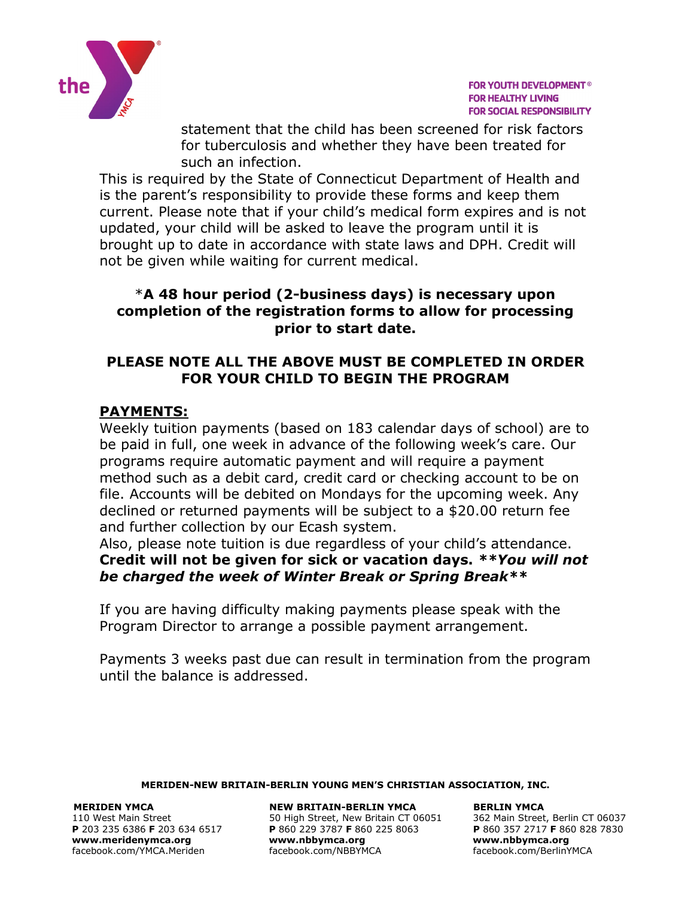

statement that the child has been screened for risk factors for tuberculosis and whether they have been treated for such an infection.

This is required by the State of Connecticut Department of Health and is the parent's responsibility to provide these forms and keep them current. Please note that if your child's medical form expires and is not updated, your child will be asked to leave the program until it is brought up to date in accordance with state laws and DPH. Credit will not be given while waiting for current medical.

## \***A 48 hour period (2-business days) is necessary upon completion of the registration forms to allow for processing prior to start date.**

## **PLEASE NOTE ALL THE ABOVE MUST BE COMPLETED IN ORDER FOR YOUR CHILD TO BEGIN THE PROGRAM**

# **PAYMENTS:**

Weekly tuition payments (based on 183 calendar days of school) are to be paid in full, one week in advance of the following week's care. Our programs require automatic payment and will require a payment method such as a debit card, credit card or checking account to be on file. Accounts will be debited on Mondays for the upcoming week. Any declined or returned payments will be subject to a \$20.00 return fee and further collection by our Ecash system.

Also, please note tuition is due regardless of your child's attendance. **Credit will not be given for sick or vacation days.** *\*\*You will not be charged the week of Winter Break or Spring Break\*\**

If you are having difficulty making payments please speak with the Program Director to arrange a possible payment arrangement.

Payments 3 weeks past due can result in termination from the program until the balance is addressed.

#### **MERIDEN-NEW BRITAIN-BERLIN YOUNG MEN'S CHRISTIAN ASSOCIATION, INC.**

**[www.meridenymca.org](http://www.meridenymca.org/) www[.nbbymca.org](http://www.meridenymca.org/) www.nbbymca.org**

**MERIDEN YMCA NEW BRITAIN-BERLIN YMCA BERLIN YMCA**  110 West Main Street 634 6517 50 High Street, New Britain CT 06051 362 Main Street, Berlin CT 06037<br>
110 West Main Street, Berlin CT 06037 5060 925 8063 **P** 860 357 2717 **F** 860 828 7830 **P** 860 229 3787 **F** 860 225 8063 **P** 860 357 2717 **F** 86<br>www.nbbymca.org www.nbbymca.org facebook.com/YMCA.Meriden facebook.com/NBBYMCA facebook.com/BerlinYMCA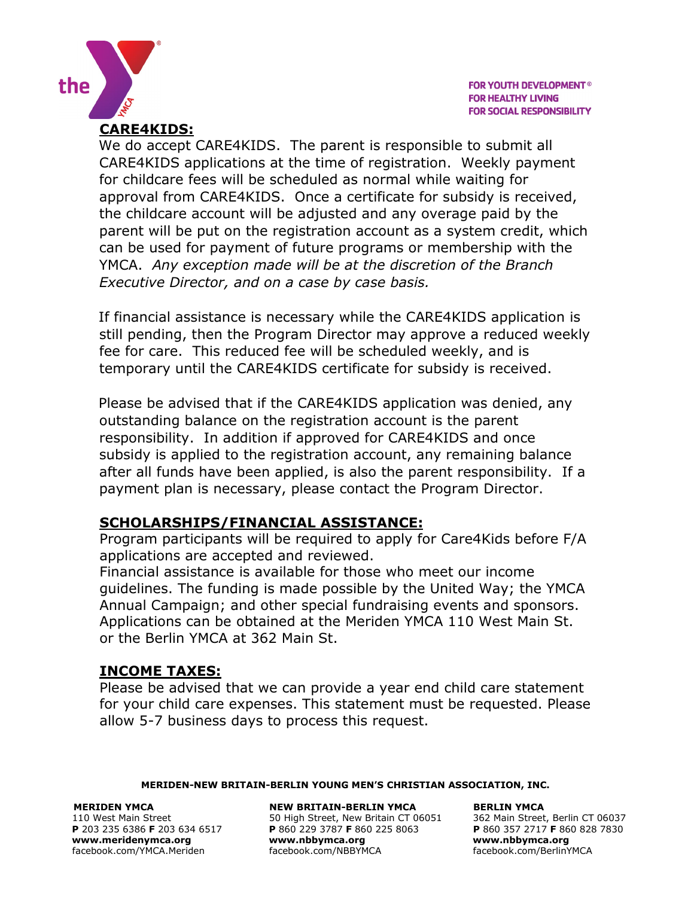

**CARE4KIDS:**  We do accept CARE4KIDS. The parent is responsible to submit all CARE4KIDS applications at the time of registration. Weekly payment for childcare fees will be scheduled as normal while waiting for approval from CARE4KIDS. Once a certificate for subsidy is received, the childcare account will be adjusted and any overage paid by the parent will be put on the registration account as a system credit, which can be used for payment of future programs or membership with the YMCA. *Any exception made will be at the discretion of the Branch Executive Director, and on a case by case basis.*

If financial assistance is necessary while the CARE4KIDS application is still pending, then the Program Director may approve a reduced weekly fee for care. This reduced fee will be scheduled weekly, and is temporary until the CARE4KIDS certificate for subsidy is received.

Please be advised that if the CARE4KIDS application was denied, any outstanding balance on the registration account is the parent responsibility. In addition if approved for CARE4KIDS and once subsidy is applied to the registration account, any remaining balance after all funds have been applied, is also the parent responsibility. If a payment plan is necessary, please contact the Program Director.

## **SCHOLARSHIPS/FINANCIAL ASSISTANCE:**

Program participants will be required to apply for Care4Kids before F/A applications are accepted and reviewed.

Financial assistance is available for those who meet our income guidelines. The funding is made possible by the United Way; the YMCA Annual Campaign; and other special fundraising events and sponsors. Applications can be obtained at the Meriden YMCA 110 West Main St. or the Berlin YMCA at 362 Main St.

## **INCOME TAXES:**

Please be advised that we can provide a year end child care statement for your child care expenses. This statement must be requested. Please allow 5-7 business days to process this request.

#### **MERIDEN-NEW BRITAIN-BERLIN YOUNG MEN'S CHRISTIAN ASSOCIATION, INC.**

the

**[www.meridenymca.org](http://www.meridenymca.org/) www[.nbbymca.org](http://www.meridenymca.org/) www.nbbymca.org**

**MERIDEN YMCA NEW BRITAIN-BERLIN YMCA BERLIN YMCA**  110 West Main Street 634 6517 50 High Street, New Britain CT 06051 362 Main Street, Berlin CT 06037<br>
110 West Main Street, Berlin CT 06037 5060 1254 1050 1258 9063 P 203 235 2717 F 860 828 7830 **P** 860 229 3787 **F** 860 225 8063 **P** 860 357 2717 **F** 86<br>www.nbbymca.org www.nbbymca.org facebook.com/YMCA.Meriden facebook.com/NBBYMCA facebook.com/BerlinYMCA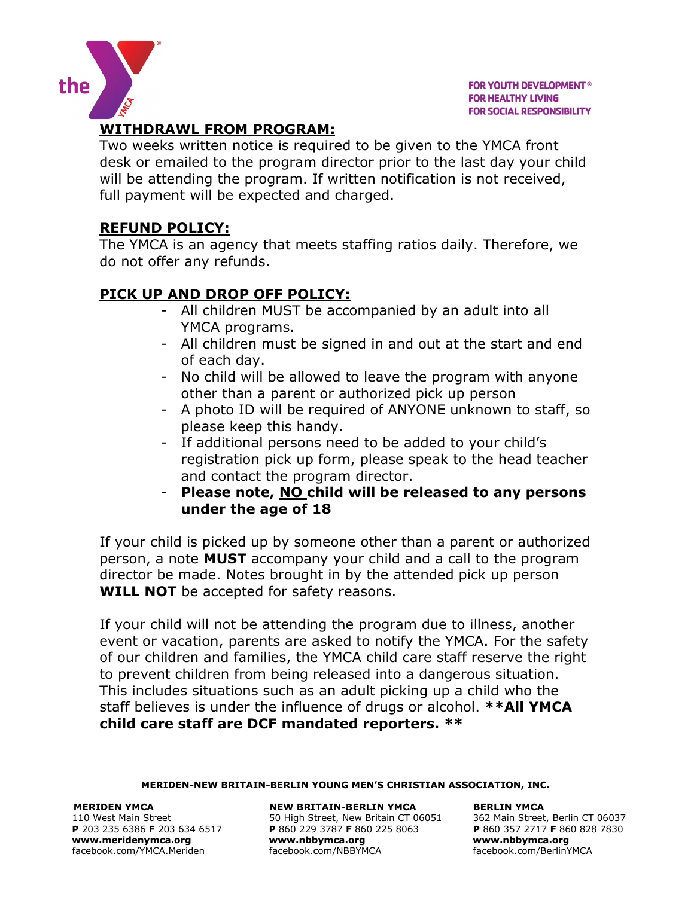



# **WITHDRAWL FROM PROGRAM:**

Two weeks written notice is required to be given to the YMCA front desk or emailed to the program director prior to the last day your child will be attending the program. If written notification is not received, full payment will be expected and charged.

# **REFUND POLICY:**

The YMCA is an agency that meets staffing ratios daily. Therefore, we do not offer any refunds.

# **PICK UP AND DROP OFF POLICY:**

- All children MUST be accompanied by an adult into all YMCA programs.
- All children must be signed in and out at the start and end of each day.
- No child will be allowed to leave the program with anyone other than a parent or authorized pick up person
- A photo ID will be required of ANYONE unknown to staff, so please keep this handy.
- If additional persons need to be added to your child's registration pick up form, please speak to the head teacher and contact the program director.
- **Please note, NO child will be released to any persons under the age of 18**

If your child is picked up by someone other than a parent or authorized person, a note **MUST** accompany your child and a call to the program director be made. Notes brought in by the attended pick up person **WILL NOT** be accepted for safety reasons.

If your child will not be attending the program due to illness, another event or vacation, parents are asked to notify the YMCA. For the safety of our children and families, the YMCA child care staff reserve the right to prevent children from being released into a dangerous situation. This includes situations such as an adult picking up a child who the staff believes is under the influence of drugs or alcohol. **\*\*All YMCA child care staff are DCF mandated reporters. \*\***

**MERIDEN-NEW BRITAIN-BERLIN YOUNG MEN'S CHRISTIAN ASSOCIATION, INC.**

**MERIDEN YMCA NEW BRITAIN-BERLIN YMCA BERLIN YMCA**  110 West Main Street 634 6517 50 High Street, New Britain CT 06051 362 Main Street, Berlin CT 06037<br>
110 West Main Street, Berlin CT 06037 5060 1254 1050 1258 9063 P 203 235 2717 F 860 828 7830 **P** 203 235 6386 **F** 203 634 6517 **P** 860 229 3787 **F** 860 225 8063 **P** 860 357 2717 **F** 860 828 7830 **[www.meridenymca.org](http://www.meridenymca.org/) www[.nbbymca.org](http://www.meridenymca.org/) www.nbbymca.org** facebook.com/YMCA.Meriden facebook.com/NBBYMCA facebook.com/BerlinYMCA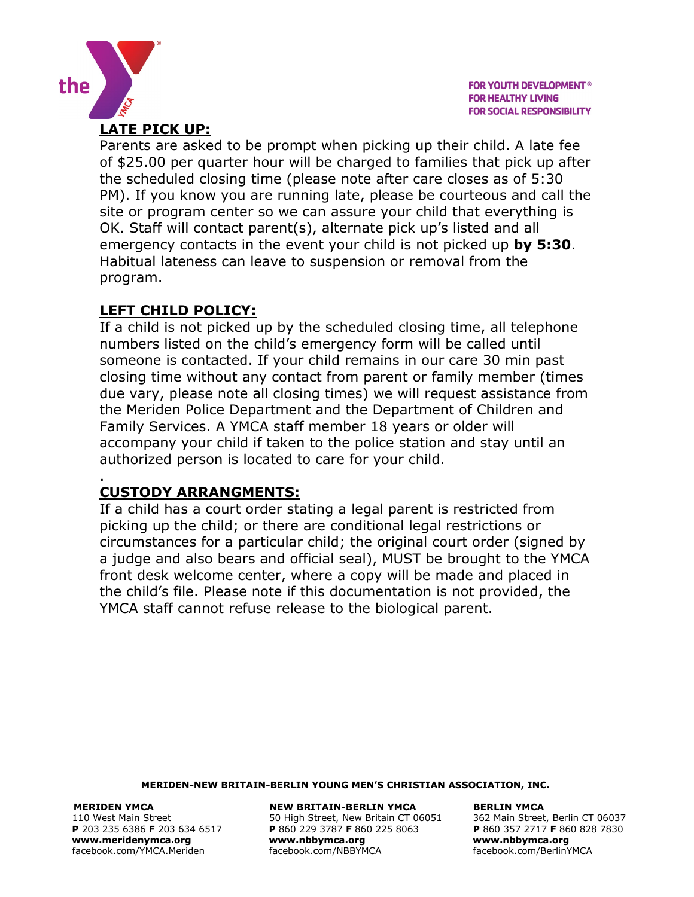

Parents are asked to be prompt when picking up their child. A late fee of \$25.00 per quarter hour will be charged to families that pick up after the scheduled closing time (please note after care closes as of 5:30 PM). If you know you are running late, please be courteous and call the site or program center so we can assure your child that everything is OK. Staff will contact parent(s), alternate pick up's listed and all emergency contacts in the event your child is not picked up **by 5:30**. Habitual lateness can leave to suspension or removal from the program.

## **LEFT CHILD POLICY:**

**LATE PICK UP:**

the

If a child is not picked up by the scheduled closing time, all telephone numbers listed on the child's emergency form will be called until someone is contacted. If your child remains in our care 30 min past closing time without any contact from parent or family member (times due vary, please note all closing times) we will request assistance from the Meriden Police Department and the Department of Children and Family Services. A YMCA staff member 18 years or older will accompany your child if taken to the police station and stay until an authorized person is located to care for your child.

#### . **CUSTODY ARRANGMENTS:**

If a child has a court order stating a legal parent is restricted from picking up the child; or there are conditional legal restrictions or circumstances for a particular child; the original court order (signed by a judge and also bears and official seal), MUST be brought to the YMCA front desk welcome center, where a copy will be made and placed in the child's file. Please note if this documentation is not provided, the YMCA staff cannot refuse release to the biological parent.

#### **MERIDEN-NEW BRITAIN-BERLIN YOUNG MEN'S CHRISTIAN ASSOCIATION, INC.**

**[www.meridenymca.org](http://www.meridenymca.org/) www[.nbbymca.org](http://www.meridenymca.org/) www.nbbymca.org**

**MERIDEN YMCA NEW BRITAIN-BERLIN YMCA BERLIN YMCA**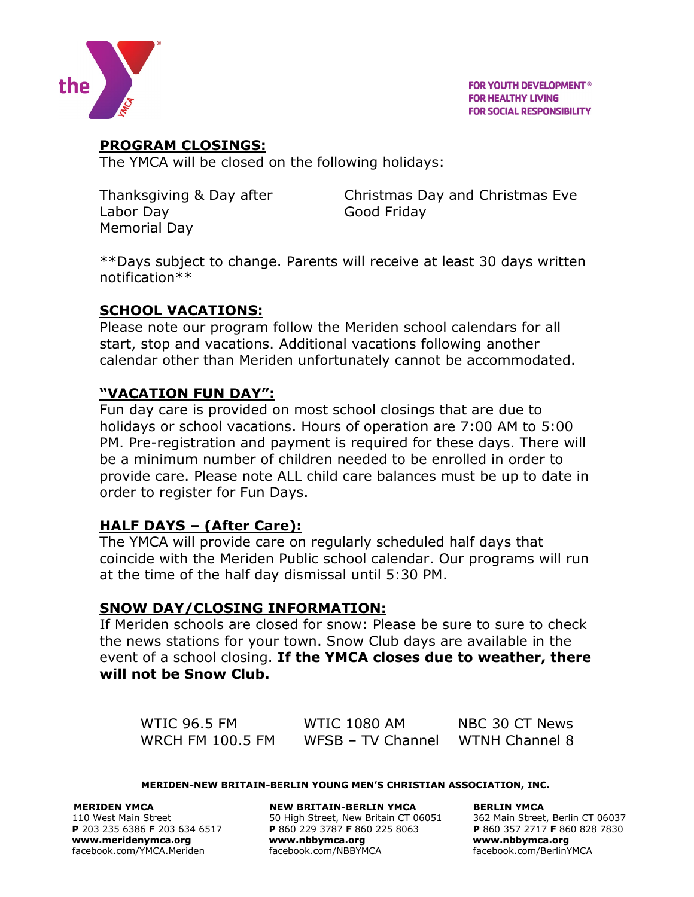

**FOR YOUTH DEVELOPMENT® FOR HEALTHY LIVING FOR SOCIAL RESPONSIBILITY** 

# **PROGRAM CLOSINGS:**

The YMCA will be closed on the following holidays:

Labor Day Good Friday Memorial Day

Thanksgiving & Day after Christmas Day and Christmas Eve

\*\*Days subject to change. Parents will receive at least 30 days written notification\*\*

## **SCHOOL VACATIONS:**

Please note our program follow the Meriden school calendars for all start, stop and vacations. Additional vacations following another calendar other than Meriden unfortunately cannot be accommodated.

## **"VACATION FUN DAY":**

Fun day care is provided on most school closings that are due to holidays or school vacations. Hours of operation are 7:00 AM to 5:00 PM. Pre-registration and payment is required for these days. There will be a minimum number of children needed to be enrolled in order to provide care. Please note ALL child care balances must be up to date in order to register for Fun Days.

## **HALF DAYS – (After Care):**

The YMCA will provide care on regularly scheduled half days that coincide with the Meriden Public school calendar. Our programs will run at the time of the half day dismissal until 5:30 PM.

## **SNOW DAY/CLOSING INFORMATION:**

If Meriden schools are closed for snow: Please be sure to sure to check the news stations for your town. Snow Club days are available in the event of a school closing. **If the YMCA closes due to weather, there will not be Snow Club.** 

WTIC 96.5 FM WTIC 1080 AM NBC 30 CT News WRCH FM 100.5 FM WFSB - TV Channel WTNH Channel 8

#### **MERIDEN-NEW BRITAIN-BERLIN YOUNG MEN'S CHRISTIAN ASSOCIATION, INC.**

**MERIDEN YMCA NEW BRITAIN-BERLIN YMCA BERLIN YMCA**  110 West Main Street 60037<br>
110 West Main Street, Berlin CT 06037<br>
1203 235 6386 F 203 634 6517 P 860 229 3787 F 860 225 8063<br>
1206 P 860 357 2717 F 860 828 7830 **P** 203 235 6386 **F** 203 634 6517 **P** 860 229 3787 **F** 860 225 8063 **P** 860 357 2717 **F** 860 828 7830 **[www.meridenymca.org](http://www.meridenymca.org/) www[.nbbymca.org](http://www.meridenymca.org/) www.nbbymca.org** facebook.com/YMCA.Meriden facebook.com/NBBYMCA facebook.com/BerlinYMCA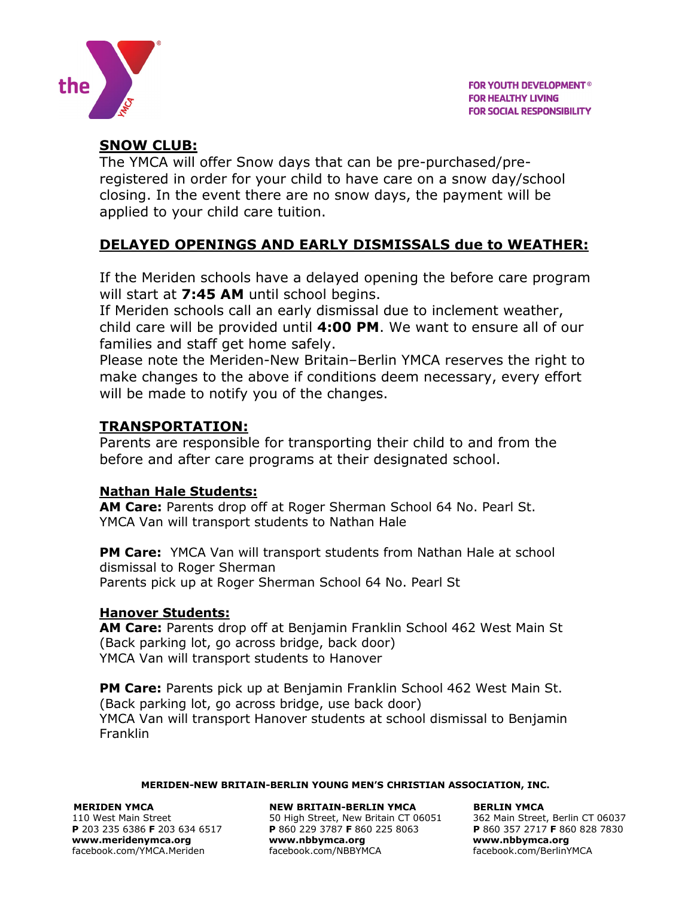

# **SNOW CLUB:**

The YMCA will offer Snow days that can be pre-purchased/preregistered in order for your child to have care on a snow day/school closing. In the event there are no snow days, the payment will be applied to your child care tuition.

# **DELAYED OPENINGS AND EARLY DISMISSALS due to WEATHER:**

If the Meriden schools have a delayed opening the before care program will start at **7:45 AM** until school begins.

If Meriden schools call an early dismissal due to inclement weather, child care will be provided until **4:00 PM**. We want to ensure all of our families and staff get home safely.

Please note the Meriden-New Britain–Berlin YMCA reserves the right to make changes to the above if conditions deem necessary, every effort will be made to notify you of the changes.

# **TRANSPORTATION:**

Parents are responsible for transporting their child to and from the before and after care programs at their designated school.

## **Nathan Hale Students:**

**AM Care:** Parents drop off at Roger Sherman School 64 No. Pearl St. YMCA Van will transport students to Nathan Hale

**PM Care:** YMCA Van will transport students from Nathan Hale at school dismissal to Roger Sherman Parents pick up at Roger Sherman School 64 No. Pearl St

## **Hanover Students:**

**AM Care:** Parents drop off at Benjamin Franklin School 462 West Main St (Back parking lot, go across bridge, back door) YMCA Van will transport students to Hanover

**PM Care:** Parents pick up at Benjamin Franklin School 462 West Main St. (Back parking lot, go across bridge, use back door) YMCA Van will transport Hanover students at school dismissal to Benjamin Franklin

#### **MERIDEN-NEW BRITAIN-BERLIN YOUNG MEN'S CHRISTIAN ASSOCIATION, INC.**

#### **MERIDEN YMCA NEW BRITAIN-BERLIN YMCA BERLIN YMCA**

110 West Main Street 634 6517 50 High Street, New Britain CT 06051 362 Main Street, Berlin CT 06037<br>
110 West Main Street, Berlin CT 06037 5060 925 8063 **P** 860 357 2717 **F** 860 828 7830 **P** 203 235 6386 **F** 203 634 6517 **P** 860 229 3787 **F** 860 225 8063 **P** 860 357 2717 **F** 860 828 7830 **[www.meridenymca.org](http://www.meridenymca.org/) www[.nbbymca.org](http://www.meridenymca.org/) www.nbbymca.org** facebook.com/YMCA.Meriden facebook.com/NBBYMCA facebook.com/BerlinYMCA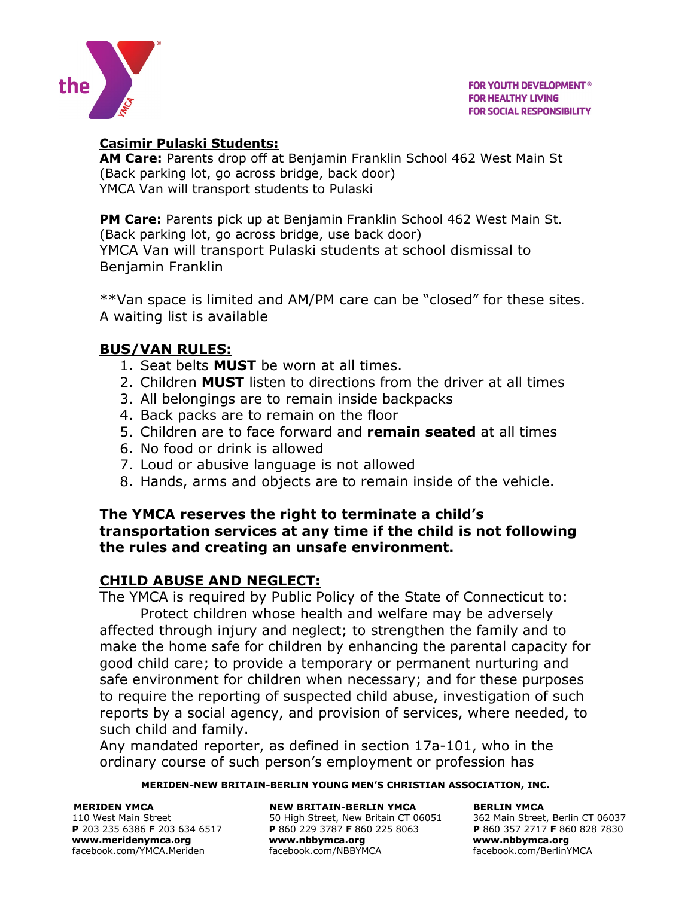

## **Casimir Pulaski Students:**

**AM Care:** Parents drop off at Benjamin Franklin School 462 West Main St (Back parking lot, go across bridge, back door) YMCA Van will transport students to Pulaski

**PM Care:** Parents pick up at Benjamin Franklin School 462 West Main St. (Back parking lot, go across bridge, use back door) YMCA Van will transport Pulaski students at school dismissal to Benjamin Franklin

\*\*Van space is limited and AM/PM care can be "closed" for these sites. A waiting list is available

# **BUS/VAN RULES:**

- 1. Seat belts **MUST** be worn at all times.
- 2. Children **MUST** listen to directions from the driver at all times
- 3. All belongings are to remain inside backpacks
- 4. Back packs are to remain on the floor
- 5. Children are to face forward and **remain seated** at all times
- 6. No food or drink is allowed
- 7. Loud or abusive language is not allowed
- 8. Hands, arms and objects are to remain inside of the vehicle.

#### **The YMCA reserves the right to terminate a child's transportation services at any time if the child is not following the rules and creating an unsafe environment.**

## **CHILD ABUSE AND NEGLECT:**

The YMCA is required by Public Policy of the State of Connecticut to: Protect children whose health and welfare may be adversely affected through injury and neglect; to strengthen the family and to make the home safe for children by enhancing the parental capacity for good child care; to provide a temporary or permanent nurturing and safe environment for children when necessary; and for these purposes to require the reporting of suspected child abuse, investigation of such reports by a social agency, and provision of services, where needed, to such child and family.

Any mandated reporter, as defined in section 17a-101, who in the ordinary course of such person's employment or profession has

#### **MERIDEN-NEW BRITAIN-BERLIN YOUNG MEN'S CHRISTIAN ASSOCIATION, INC.**

**MERIDEN YMCA NEW BRITAIN-BERLIN YMCA BERLIN YMCA**  110 West Main Street 634 6517 50 High Street, New Britain CT 06051 362 Main Street, Berlin CT 06037<br>
110 West Main Street, Berlin CT 06037 5060 1254 1050 1258 9063 P 203 235 2717 F 860 828 7830 **P** 203 235 6386 **F** 203 634 6517 **P** 860 229 3787 **F** 860 225 8063 **P** 860 357 2717 **F** 860 828 7830 **[www.meridenymca.org](http://www.meridenymca.org/) www[.nbbymca.org](http://www.meridenymca.org/) www.nbbymca.org** facebook.com/YMCA.Meriden facebook.com/NBBYMCA facebook.com/BerlinYMCA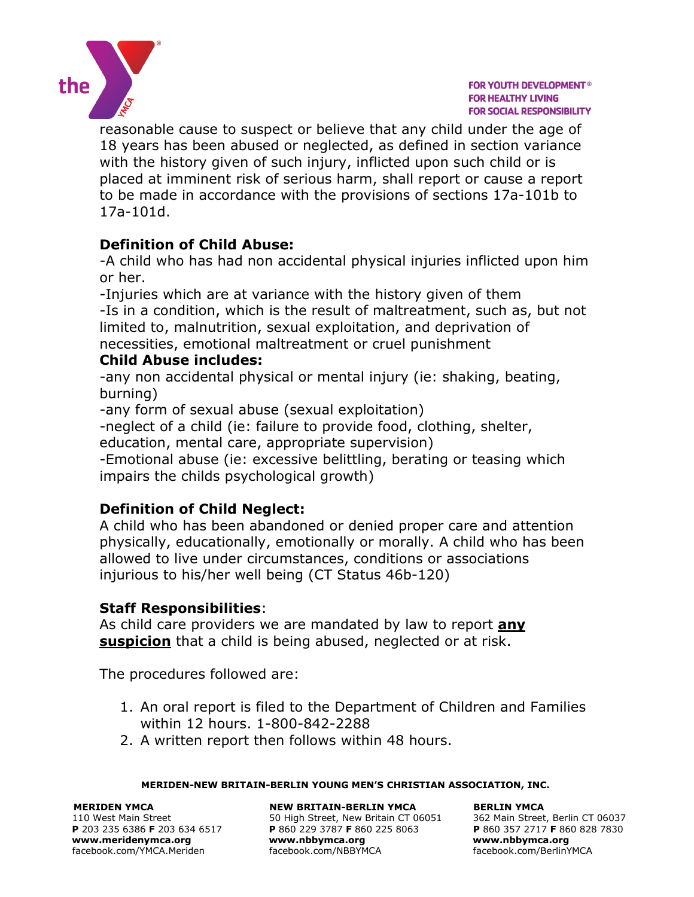

reasonable cause to suspect or believe that any child under the age of 18 years has been abused or neglected, as defined in section variance with the history given of such injury, inflicted upon such child or is placed at imminent risk of serious harm, shall report or cause a report to be made in accordance with the provisions of sections 17a-101b to 17a-101d.

# **Definition of Child Abuse:**

-A child who has had non accidental physical injuries inflicted upon him or her.

-Injuries which are at variance with the history given of them -Is in a condition, which is the result of maltreatment, such as, but not limited to, malnutrition, sexual exploitation, and deprivation of necessities, emotional maltreatment or cruel punishment

## **Child Abuse includes:**

-any non accidental physical or mental injury (ie: shaking, beating, burning)

-any form of sexual abuse (sexual exploitation)

-neglect of a child (ie: failure to provide food, clothing, shelter, education, mental care, appropriate supervision)

-Emotional abuse (ie: excessive belittling, berating or teasing which impairs the childs psychological growth)

# **Definition of Child Neglect:**

A child who has been abandoned or denied proper care and attention physically, educationally, emotionally or morally. A child who has been allowed to live under circumstances, conditions or associations injurious to his/her well being (CT Status 46b-120)

## **Staff Responsibilities**:

As child care providers we are mandated by law to report **any suspicion** that a child is being abused, neglected or at risk.

The procedures followed are:

- 1. An oral report is filed to the Department of Children and Families within 12 hours. 1-800-842-2288
- 2. A written report then follows within 48 hours.

#### **MERIDEN-NEW BRITAIN-BERLIN YOUNG MEN'S CHRISTIAN ASSOCIATION, INC.**

**MERIDEN YMCA NEW BRITAIN-BERLIN YMCA BERLIN YMCA** 

110 West Main Street 634 6517 50 High Street, New Britain CT 06051 362 Main Street, Berlin CT 06037<br>
110 West Main Street, Berlin CT 06037 5060 1254 1050 1258 9063 P 203 235 2717 F 860 828 7830 **P** 203 235 6386 **F** 203 634 6517 **P** 860 229 3787 **F** 860 225 8063 **P** 860 357 2717 **F** 860 828 7830 **[www.meridenymca.org](http://www.meridenymca.org/) www[.nbbymca.org](http://www.meridenymca.org/) www.nbbymca.org** facebook.com/YMCA.Meriden facebook.com/NBBYMCA facebook.com/BerlinYMCA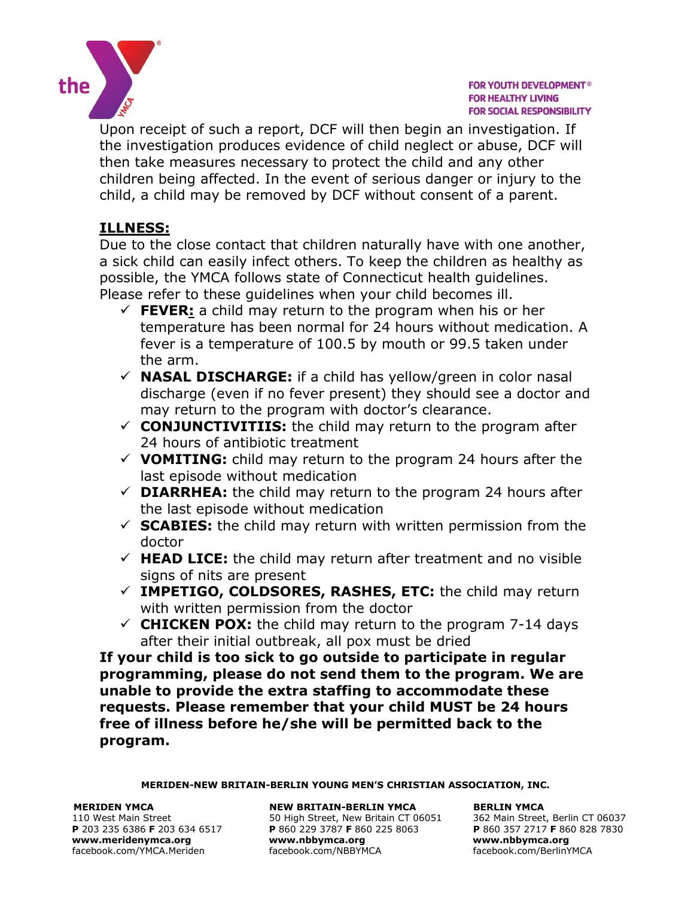

Upon receipt of such a report, DCF will then begin an investigation. If the investigation produces evidence of child neglect or abuse, DCF will then take measures necessary to protect the child and any other children being affected. In the event of serious danger or injury to the child, a child may be removed by DCF without consent of a parent.

# **ILLNESS:**

Due to the close contact that children naturally have with one another, a sick child can easily infect others. To keep the children as healthy as possible, the YMCA follows state of Connecticut health guidelines. Please refer to these guidelines when your child becomes ill.

- $\checkmark$  FEVER: a child may return to the program when his or her temperature has been normal for 24 hours without medication. A fever is a temperature of 100.5 by mouth or 99.5 taken under the arm.
- **NASAL DISCHARGE:** if a child has yellow/green in color nasal discharge (even if no fever present) they should see a doctor and may return to the program with doctor's clearance.
- $\checkmark$  **CONJUNCTIVITIIS:** the child may return to the program after 24 hours of antibiotic treatment
- $\checkmark$  **VOMITING:** child may return to the program 24 hours after the last episode without medication
- $\checkmark$  **DIARRHEA:** the child may return to the program 24 hours after the last episode without medication
- $\checkmark$  **SCABIES:** the child may return with written permission from the doctor
- $\checkmark$  **HEAD LICE:** the child may return after treatment and no visible signs of nits are present
- **IMPETIGO, COLDSORES, RASHES, ETC:** the child may return with written permission from the doctor
- $\checkmark$  **CHICKEN POX:** the child may return to the program 7-14 days after their initial outbreak, all pox must be dried

**If your child is too sick to go outside to participate in regular programming, please do not send them to the program. We are unable to provide the extra staffing to accommodate these requests. Please remember that your child MUST be 24 hours free of illness before he/she will be permitted back to the program.**

**MERIDEN-NEW BRITAIN-BERLIN YOUNG MEN'S CHRISTIAN ASSOCIATION, INC.**

facebook.com/YMCA.Meriden

#### **MERIDEN YMCA NEW BRITAIN-BERLIN YMCA BERLIN YMCA**

110 West Main Street 634 6517 50 High Street, New Britain CT 06051 362 Main Street, Berlin CT 06037<br>
110 West Main Street, Berlin CT 06037 5060 925 8063 **P** 860 357 2717 **F** 860 828 7830 **P** 860 229 3787 **F** 860 225 8063 **P** 860 357 2717 **F** 86<br>www.nbbymca.org www.nbbymca.org **[www.meridenymca.org](http://www.meridenymca.org/) www[.nbbymca.org](http://www.meridenymca.org/) www.nbbymca.org**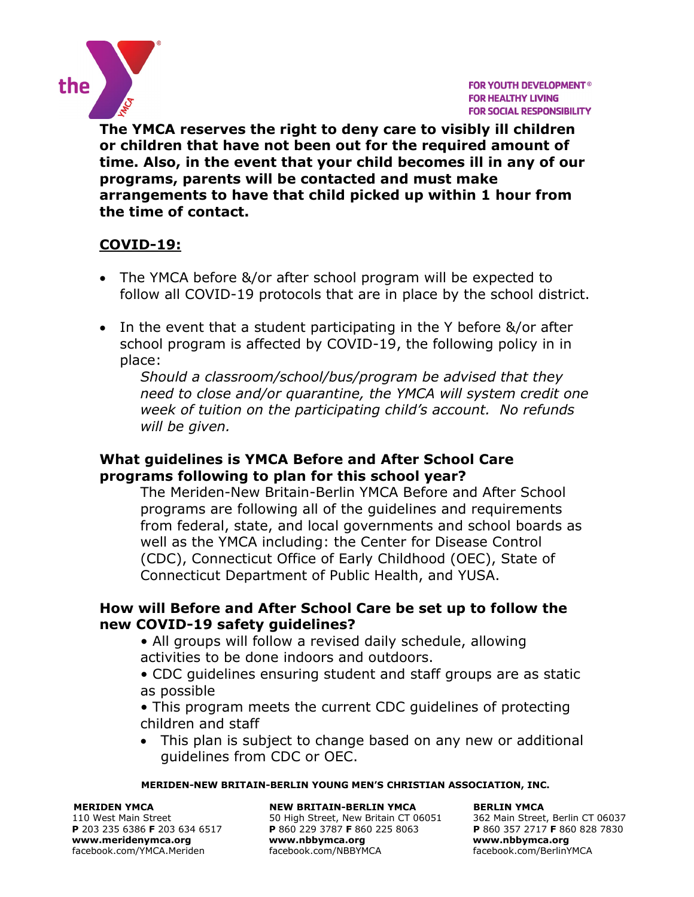

**The YMCA reserves the right to deny care to visibly ill children or children that have not been out for the required amount of time. Also, in the event that your child becomes ill in any of our programs, parents will be contacted and must make arrangements to have that child picked up within 1 hour from the time of contact.** 

# **COVID-19:**

- The YMCA before &/or after school program will be expected to follow all COVID-19 protocols that are in place by the school district.
- In the event that a student participating in the Y before &/or after school program is affected by COVID-19, the following policy in in place:

*Should a classroom/school/bus/program be advised that they need to close and/or quarantine, the YMCA will system credit one week of tuition on the participating child's account. No refunds will be given.*

## **What guidelines is YMCA Before and After School Care programs following to plan for this school year?**

The Meriden-New Britain-Berlin YMCA Before and After School programs are following all of the guidelines and requirements from federal, state, and local governments and school boards as well as the YMCA including: the Center for Disease Control (CDC), Connecticut Office of Early Childhood (OEC), State of Connecticut Department of Public Health, and YUSA.

## **How will Before and After School Care be set up to follow the new COVID-19 safety guidelines?**

- All groups will follow a revised daily schedule, allowing activities to be done indoors and outdoors.
- CDC guidelines ensuring student and staff groups are as static as possible
- This program meets the current CDC guidelines of protecting children and staff
- This plan is subject to change based on any new or additional guidelines from CDC or OEC.

#### **MERIDEN-NEW BRITAIN-BERLIN YOUNG MEN'S CHRISTIAN ASSOCIATION, INC.**

#### **MERIDEN YMCA NEW BRITAIN-BERLIN YMCA BERLIN YMCA**

110 West Main Street 634 6517 50 High Street, New Britain CT 06051 362 Main Street, Berlin CT 06037<br>
110 West Main Street, Berlin CT 06037 5060 1254 1050 1258 9063 P 203 235 2717 F 860 828 7830 **P** 203 235 6386 **F** 203 634 6517 **P** 860 229 3787 **F** 860 225 8063 **P** 860 357 2717 **F** 860 828 7830 **[www.meridenymca.org](http://www.meridenymca.org/) www[.nbbymca.org](http://www.meridenymca.org/) www.nbbymca.org** facebook.com/YMCA.Meriden facebook.com/NBBYMCA facebook.com/BerlinYMCA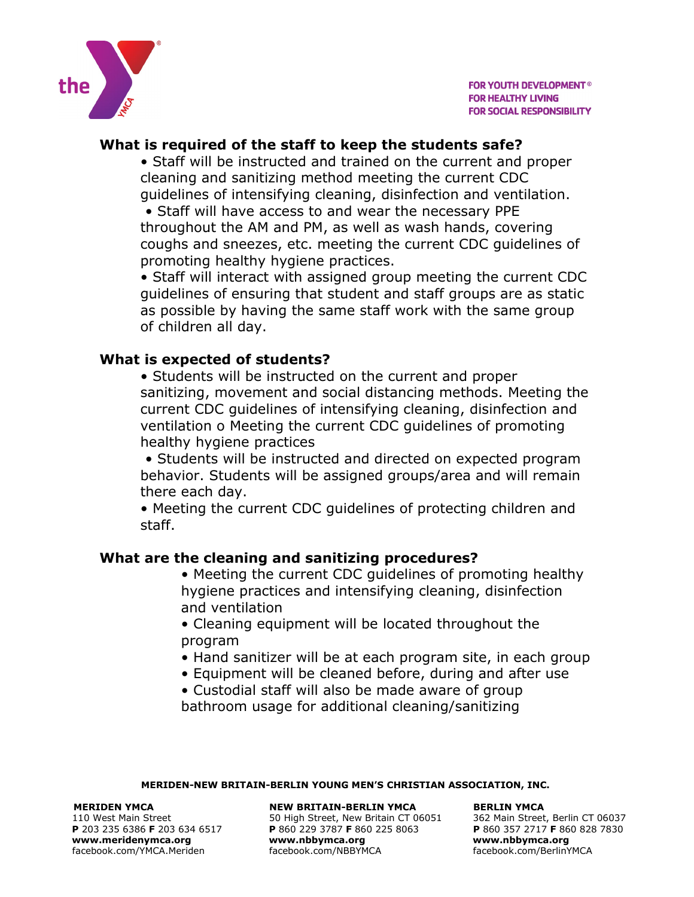

# **What is required of the staff to keep the students safe?**

• Staff will be instructed and trained on the current and proper cleaning and sanitizing method meeting the current CDC guidelines of intensifying cleaning, disinfection and ventilation.

• Staff will have access to and wear the necessary PPE throughout the AM and PM, as well as wash hands, covering coughs and sneezes, etc. meeting the current CDC guidelines of promoting healthy hygiene practices.

• Staff will interact with assigned group meeting the current CDC guidelines of ensuring that student and staff groups are as static as possible by having the same staff work with the same group of children all day.

## **What is expected of students?**

• Students will be instructed on the current and proper sanitizing, movement and social distancing methods. Meeting the current CDC guidelines of intensifying cleaning, disinfection and ventilation o Meeting the current CDC guidelines of promoting healthy hygiene practices

• Students will be instructed and directed on expected program behavior. Students will be assigned groups/area and will remain there each day.

• Meeting the current CDC guidelines of protecting children and staff.

## **What are the cleaning and sanitizing procedures?**

• Meeting the current CDC guidelines of promoting healthy hygiene practices and intensifying cleaning, disinfection and ventilation

• Cleaning equipment will be located throughout the program

- Hand sanitizer will be at each program site, in each group
- Equipment will be cleaned before, during and after use
- Custodial staff will also be made aware of group bathroom usage for additional cleaning/sanitizing

#### **MERIDEN-NEW BRITAIN-BERLIN YOUNG MEN'S CHRISTIAN ASSOCIATION, INC.**

**[www.meridenymca.org](http://www.meridenymca.org/) www[.nbbymca.org](http://www.meridenymca.org/) www.nbbymca.org**

#### **MERIDEN YMCA NEW BRITAIN-BERLIN YMCA BERLIN YMCA**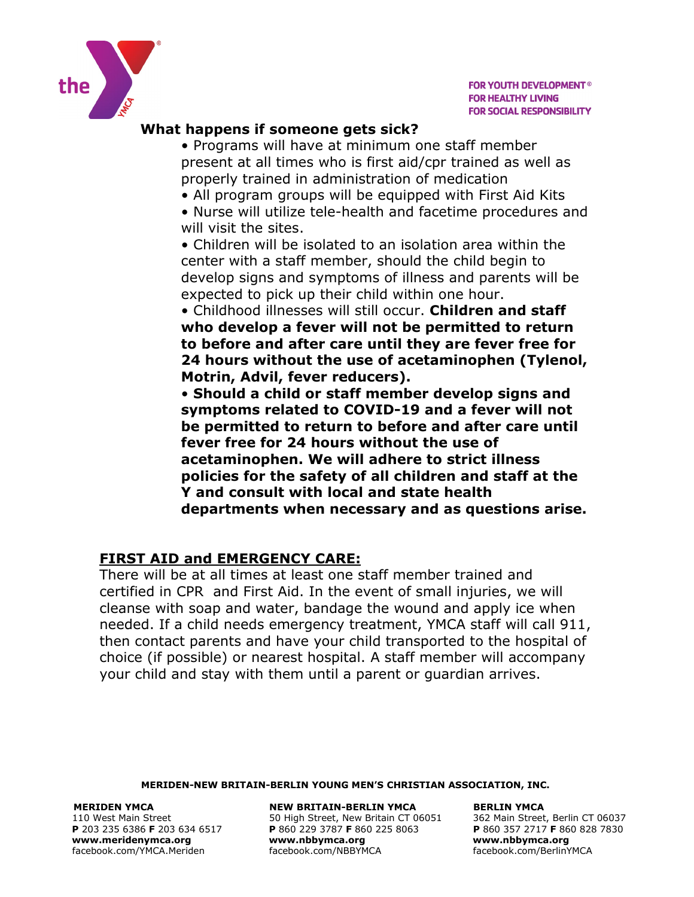

## **What happens if someone gets sick?**

• Programs will have at minimum one staff member present at all times who is first aid/cpr trained as well as properly trained in administration of medication

- All program groups will be equipped with First Aid Kits
- Nurse will utilize tele-health and facetime procedures and will visit the sites.

• Children will be isolated to an isolation area within the center with a staff member, should the child begin to develop signs and symptoms of illness and parents will be expected to pick up their child within one hour.

• Childhood illnesses will still occur. **Children and staff who develop a fever will not be permitted to return to before and after care until they are fever free for 24 hours without the use of acetaminophen (Tylenol, Motrin, Advil, fever reducers).** 

• **Should a child or staff member develop signs and symptoms related to COVID-19 and a fever will not be permitted to return to before and after care until fever free for 24 hours without the use of acetaminophen. We will adhere to strict illness policies for the safety of all children and staff at the Y and consult with local and state health departments when necessary and as questions arise.**

## **FIRST AID and EMERGENCY CARE:**

There will be at all times at least one staff member trained and certified in CPR and First Aid. In the event of small injuries, we will cleanse with soap and water, bandage the wound and apply ice when needed. If a child needs emergency treatment, YMCA staff will call 911, then contact parents and have your child transported to the hospital of choice (if possible) or nearest hospital. A staff member will accompany your child and stay with them until a parent or guardian arrives.

#### **MERIDEN-NEW BRITAIN-BERLIN YOUNG MEN'S CHRISTIAN ASSOCIATION, INC.**

**[www.meridenymca.org](http://www.meridenymca.org/) www[.nbbymca.org](http://www.meridenymca.org/) www.nbbymca.org**

**MERIDEN YMCA NEW BRITAIN-BERLIN YMCA BERLIN YMCA**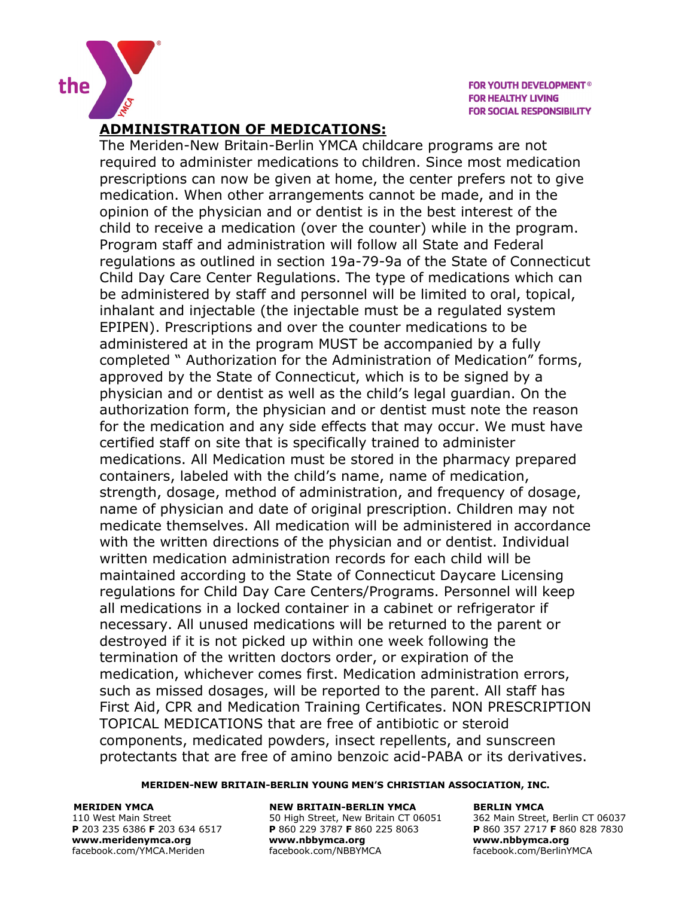

## **ADMINISTRATION OF MEDICATIONS:**

The Meriden-New Britain-Berlin YMCA childcare programs are not required to administer medications to children. Since most medication prescriptions can now be given at home, the center prefers not to give medication. When other arrangements cannot be made, and in the opinion of the physician and or dentist is in the best interest of the child to receive a medication (over the counter) while in the program. Program staff and administration will follow all State and Federal regulations as outlined in section 19a-79-9a of the State of Connecticut Child Day Care Center Regulations. The type of medications which can be administered by staff and personnel will be limited to oral, topical, inhalant and injectable (the injectable must be a regulated system EPIPEN). Prescriptions and over the counter medications to be administered at in the program MUST be accompanied by a fully completed " Authorization for the Administration of Medication" forms, approved by the State of Connecticut, which is to be signed by a physician and or dentist as well as the child's legal guardian. On the authorization form, the physician and or dentist must note the reason for the medication and any side effects that may occur. We must have certified staff on site that is specifically trained to administer medications. All Medication must be stored in the pharmacy prepared containers, labeled with the child's name, name of medication, strength, dosage, method of administration, and frequency of dosage, name of physician and date of original prescription. Children may not medicate themselves. All medication will be administered in accordance with the written directions of the physician and or dentist. Individual written medication administration records for each child will be maintained according to the State of Connecticut Daycare Licensing regulations for Child Day Care Centers/Programs. Personnel will keep all medications in a locked container in a cabinet or refrigerator if necessary. All unused medications will be returned to the parent or destroyed if it is not picked up within one week following the termination of the written doctors order, or expiration of the medication, whichever comes first. Medication administration errors, such as missed dosages, will be reported to the parent. All staff has First Aid, CPR and Medication Training Certificates. NON PRESCRIPTION TOPICAL MEDICATIONS that are free of antibiotic or steroid components, medicated powders, insect repellents, and sunscreen protectants that are free of amino benzoic acid-PABA or its derivatives.

#### **MERIDEN-NEW BRITAIN-BERLIN YOUNG MEN'S CHRISTIAN ASSOCIATION, INC.**

facebook.com/YMCA.Meriden

#### **MERIDEN YMCA NEW BRITAIN-BERLIN YMCA BERLIN YMCA**

110 West Main Street 60037<br>
110 West Main Street, Berlin CT 06037<br>
1203 235 6386 F 203 634 6517 P 860 229 3787 F 860 225 8063<br>
1206 P 860 357 2717 F 860 828 7830 **P** 860 229 3787 **F** 860 225 8063 **P** 860 357 2717 **F** 86<br>www.nbbymca.org www.nbbymca.org **[www.meridenymca.org](http://www.meridenymca.org/) www[.nbbymca.org](http://www.meridenymca.org/) www.nbbymca.org**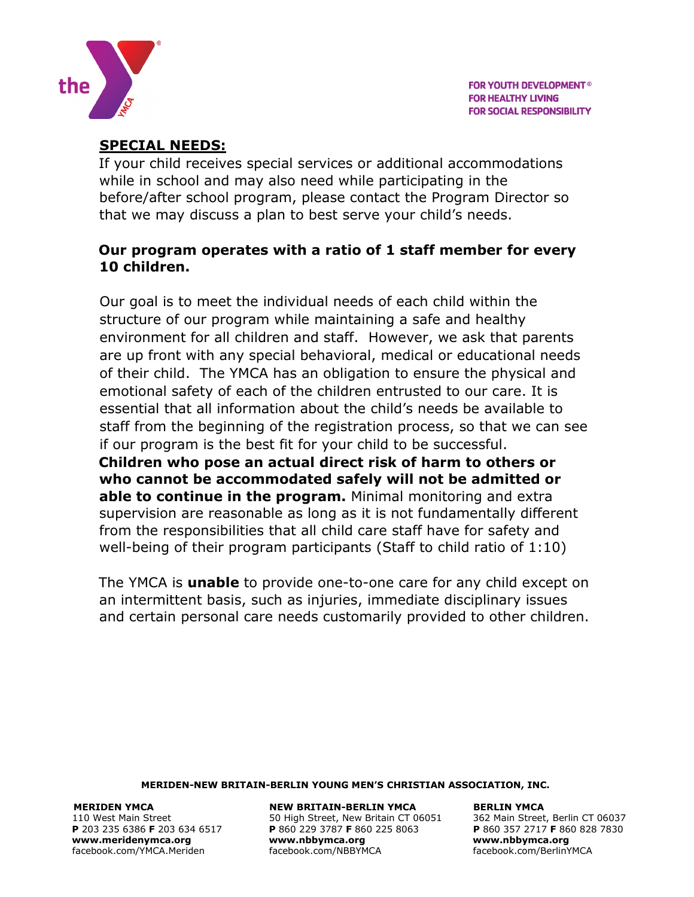

# **SPECIAL NEEDS:**

If your child receives special services or additional accommodations while in school and may also need while participating in the before/after school program, please contact the Program Director so that we may discuss a plan to best serve your child's needs.

## **Our program operates with a ratio of 1 staff member for every 10 children.**

Our goal is to meet the individual needs of each child within the structure of our program while maintaining a safe and healthy environment for all children and staff. However, we ask that parents are up front with any special behavioral, medical or educational needs of their child. The YMCA has an obligation to ensure the physical and emotional safety of each of the children entrusted to our care. It is essential that all information about the child's needs be available to staff from the beginning of the registration process, so that we can see if our program is the best fit for your child to be successful.

**Children who pose an actual direct risk of harm to others or who cannot be accommodated safely will not be admitted or able to continue in the program.** Minimal monitoring and extra supervision are reasonable as long as it is not fundamentally different from the responsibilities that all child care staff have for safety and well-being of their program participants (Staff to child ratio of 1:10)

The YMCA is **unable** to provide one-to-one care for any child except on an intermittent basis, such as injuries, immediate disciplinary issues and certain personal care needs customarily provided to other children.

#### **MERIDEN-NEW BRITAIN-BERLIN YOUNG MEN'S CHRISTIAN ASSOCIATION, INC.**

**MERIDEN YMCA NEW BRITAIN-BERLIN YMCA BERLIN YMCA**  110 West Main Street 634 6517 50 High Street, New Britain CT 06051 362 Main Street, Berlin CT 06037<br>
110 West Main Street, Berlin CT 06037 5060 1254 1050 1258 9063 P 203 235 2717 F 860 828 7830 **P** 203 235 6386 **F** 203 634 6517 **P** 860 229 3787 **F** 860 225 8063 **P** 860 357 2717 **F** 860 828 7830 **[www.meridenymca.org](http://www.meridenymca.org/) www[.nbbymca.org](http://www.meridenymca.org/) www.nbbymca.org** facebook.com/YMCA.Meriden facebook.com/NBBYMCA facebook.com/BerlinYMCA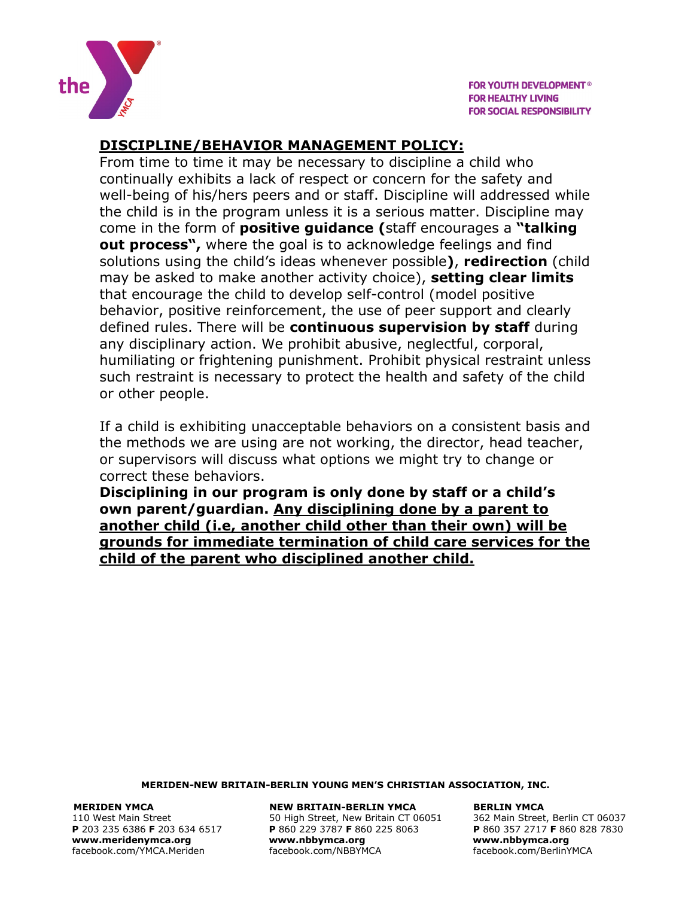

# **DISCIPLINE/BEHAVIOR MANAGEMENT POLICY:**

From time to time it may be necessary to discipline a child who continually exhibits a lack of respect or concern for the safety and well-being of his/hers peers and or staff. Discipline will addressed while the child is in the program unless it is a serious matter. Discipline may come in the form of **positive guidance (**staff encourages a **"talking out process",** where the goal is to acknowledge feelings and find solutions using the child's ideas whenever possible**)**, **redirection** (child may be asked to make another activity choice), **setting clear limits** that encourage the child to develop self-control (model positive behavior, positive reinforcement, the use of peer support and clearly defined rules. There will be **continuous supervision by staff** during any disciplinary action. We prohibit abusive, neglectful, corporal, humiliating or frightening punishment. Prohibit physical restraint unless such restraint is necessary to protect the health and safety of the child or other people.

If a child is exhibiting unacceptable behaviors on a consistent basis and the methods we are using are not working, the director, head teacher, or supervisors will discuss what options we might try to change or correct these behaviors.

**Disciplining in our program is only done by staff or a child's own parent/guardian. Any disciplining done by a parent to another child (i.e, another child other than their own) will be grounds for immediate termination of child care services for the child of the parent who disciplined another child.**

#### **MERIDEN-NEW BRITAIN-BERLIN YOUNG MEN'S CHRISTIAN ASSOCIATION, INC.**

**[www.meridenymca.org](http://www.meridenymca.org/) www[.nbbymca.org](http://www.meridenymca.org/) www.nbbymca.org**

**MERIDEN YMCA NEW BRITAIN-BERLIN YMCA BERLIN YMCA**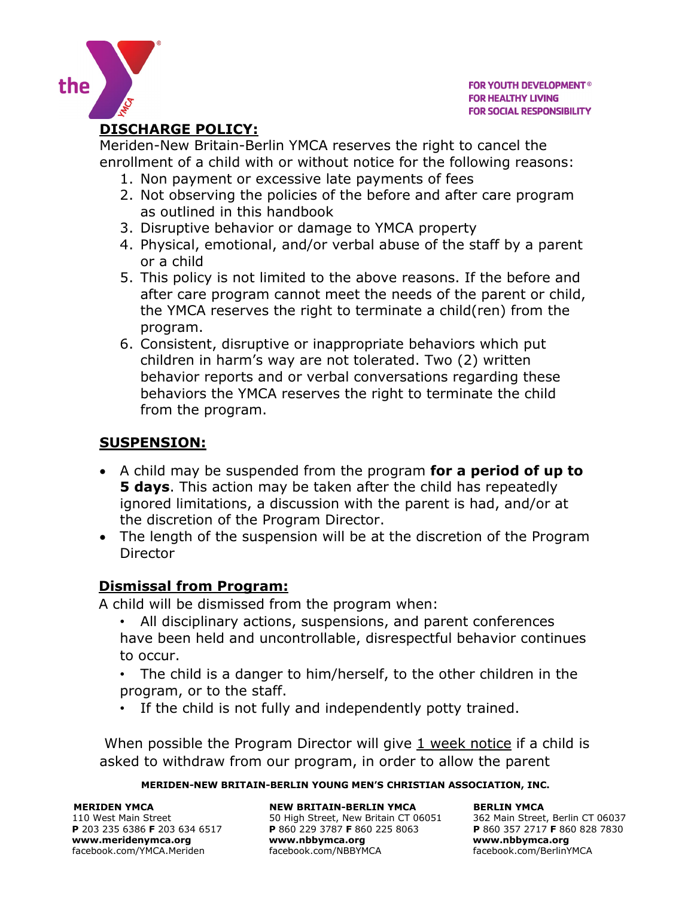

## **DISCHARGE POLICY:**

the

Meriden-New Britain-Berlin YMCA reserves the right to cancel the enrollment of a child with or without notice for the following reasons:

- 1. Non payment or excessive late payments of fees
- 2. Not observing the policies of the before and after care program as outlined in this handbook
- 3. Disruptive behavior or damage to YMCA property
- 4. Physical, emotional, and/or verbal abuse of the staff by a parent or a child
- 5. This policy is not limited to the above reasons. If the before and after care program cannot meet the needs of the parent or child, the YMCA reserves the right to terminate a child(ren) from the program.
- 6. Consistent, disruptive or inappropriate behaviors which put children in harm's way are not tolerated. Two (2) written behavior reports and or verbal conversations regarding these behaviors the YMCA reserves the right to terminate the child from the program.

## **SUSPENSION:**

- A child may be suspended from the program **for a period of up to 5 days**. This action may be taken after the child has repeatedly ignored limitations, a discussion with the parent is had, and/or at the discretion of the Program Director.
- The length of the suspension will be at the discretion of the Program **Director**

## **Dismissal from Program:**

A child will be dismissed from the program when:

- All disciplinary actions, suspensions, and parent conferences have been held and uncontrollable, disrespectful behavior continues to occur.
- The child is a danger to him/herself, to the other children in the program, or to the staff.
- If the child is not fully and independently potty trained.

When possible the Program Director will give 1 week notice if a child is asked to withdraw from our program, in order to allow the parent

#### **MERIDEN-NEW BRITAIN-BERLIN YOUNG MEN'S CHRISTIAN ASSOCIATION, INC.**

**[www.meridenymca.org](http://www.meridenymca.org/) www[.nbbymca.org](http://www.meridenymca.org/) www.nbbymca.org** facebook.com/YMCA.Meriden facebook.com/NBBYMCA facebook.com/BerlinYMCA

**MERIDEN YMCA NEW BRITAIN-BERLIN YMCA BERLIN YMCA**  110 West Main Street 634 6517 50 High Street, New Britain CT 06051 362 Main Street, Berlin CT 06037<br>
110 West Main Street, Berlin CT 06037 5060 1254 1050 1258 9063 P 203 235 2717 F 860 828 7830 **P** 203 235 6386 **F** 203 634 6517 **P** 860 229 3787 **F** 860 225 8063 **P** 860 357 2717 **F** 860 828 7830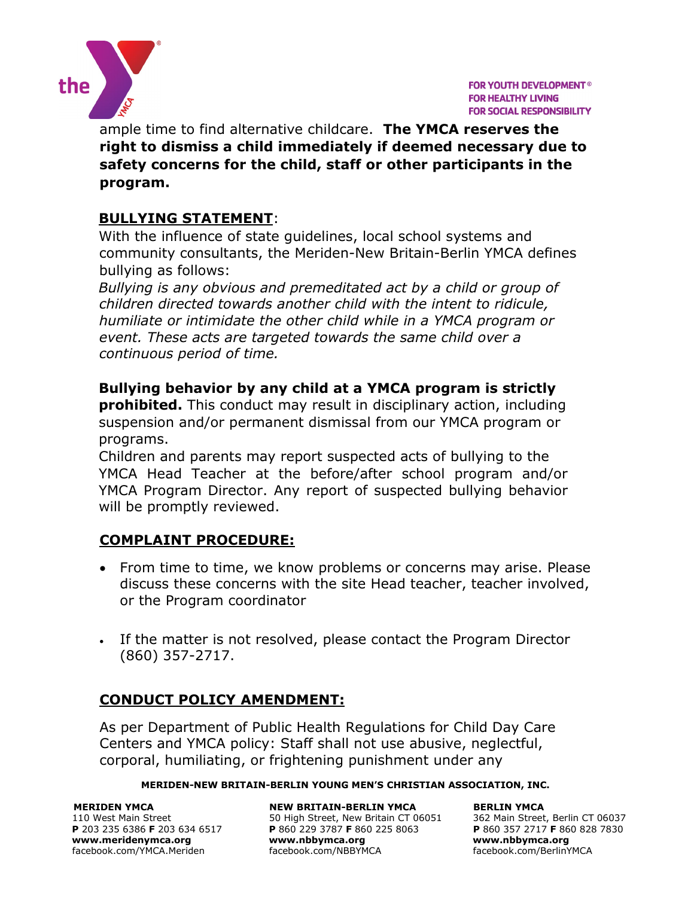

ample time to find alternative childcare. **The YMCA reserves the right to dismiss a child immediately if deemed necessary due to safety concerns for the child, staff or other participants in the program.** 

# **BULLYING STATEMENT**:

With the influence of state guidelines, local school systems and community consultants, the Meriden-New Britain-Berlin YMCA defines bullying as follows:

*Bullying is any obvious and premeditated act by a child or group of children directed towards another child with the intent to ridicule, humiliate or intimidate the other child while in a YMCA program or event. These acts are targeted towards the same child over a continuous period of time.*

**Bullying behavior by any child at a YMCA program is strictly prohibited.** This conduct may result in disciplinary action, including suspension and/or permanent dismissal from our YMCA program or programs.

Children and parents may report suspected acts of bullying to the YMCA Head Teacher at the before/after school program and/or YMCA Program Director. Any report of suspected bullying behavior will be promptly reviewed.

## **COMPLAINT PROCEDURE:**

- From time to time, we know problems or concerns may arise. Please discuss these concerns with the site Head teacher, teacher involved, or the Program coordinator
- If the matter is not resolved, please contact the Program Director (860) 357-2717.

# **CONDUCT POLICY AMENDMENT:**

As per Department of Public Health Regulations for Child Day Care Centers and YMCA policy: Staff shall not use abusive, neglectful, corporal, humiliating, or frightening punishment under any

#### **MERIDEN-NEW BRITAIN-BERLIN YOUNG MEN'S CHRISTIAN ASSOCIATION, INC.**

**MERIDEN YMCA NEW BRITAIN-BERLIN YMCA BERLIN YMCA BERLIN YMCA BERLIN YMCA BERLIN YMCA BERLIN YMCA BERLIN YMCA BERLIN YMCA BERLIN YMCA BERLIN YMCA BERLIN YMCA BERLIN YMCA BERLIN YMCA BERLIN INCH** 110 West Main Street 634 6517 50 High Street, New Britain CT 06051 362 Main Street, Berlin CT 06037<br>
10 West Main Street, Berlin CT 06037 5707 F 860 229 3787 F 860 225 8063 P 860 357 2717 F 860 828 7830 **P** 203 235 6386 **F** 203 634 6517 **P** 860 229 3787 **F** 860 225 8063 **P** 860 357 2717 **F** 860 828 7830 **[www.meridenymca.org](http://www.meridenymca.org/) www[.nbbymca.org](http://www.meridenymca.org/) www.nbbymca.org** facebook.com/YMCA.Meriden facebook.com/NBBYMCA facebook.com/BerlinYMCA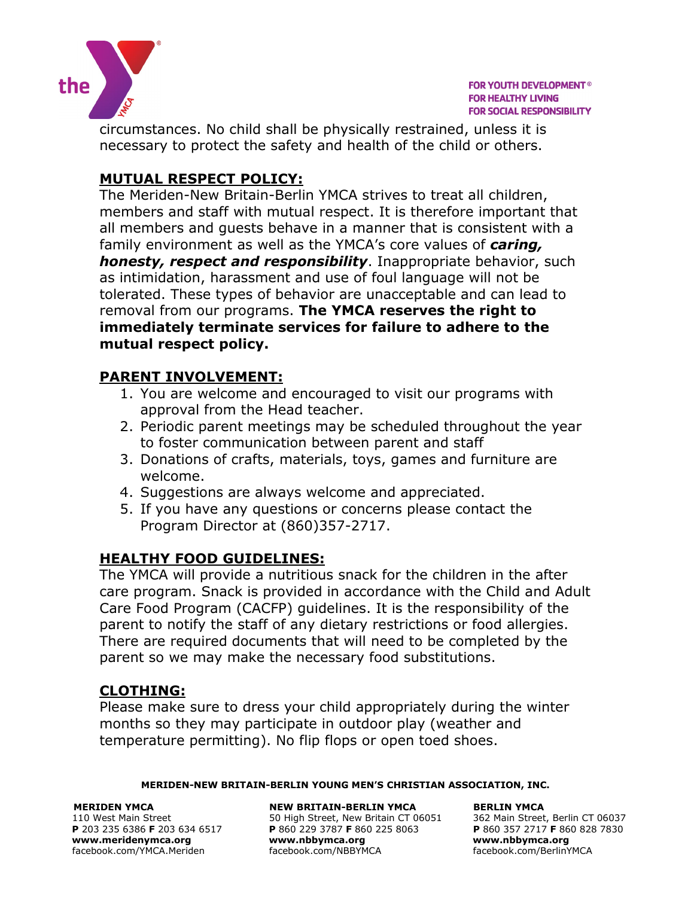

circumstances. No child shall be physically restrained, unless it is necessary to protect the safety and health of the child or others.

# **MUTUAL RESPECT POLICY:**

The Meriden-New Britain-Berlin YMCA strives to treat all children, members and staff with mutual respect. It is therefore important that all members and guests behave in a manner that is consistent with a family environment as well as the YMCA's core values of *caring, honesty, respect and responsibility*. Inappropriate behavior, such as intimidation, harassment and use of foul language will not be tolerated. These types of behavior are unacceptable and can lead to removal from our programs. **The YMCA reserves the right to immediately terminate services for failure to adhere to the mutual respect policy.**

# **PARENT INVOLVEMENT:**

- 1. You are welcome and encouraged to visit our programs with approval from the Head teacher.
- 2. Periodic parent meetings may be scheduled throughout the year to foster communication between parent and staff
- 3. Donations of crafts, materials, toys, games and furniture are welcome.
- 4. Suggestions are always welcome and appreciated.
- 5. If you have any questions or concerns please contact the Program Director at (860)357-2717.

# **HEALTHY FOOD GUIDELINES:**

The YMCA will provide a nutritious snack for the children in the after care program. Snack is provided in accordance with the Child and Adult Care Food Program (CACFP) guidelines. It is the responsibility of the parent to notify the staff of any dietary restrictions or food allergies. There are required documents that will need to be completed by the parent so we may make the necessary food substitutions.

# **CLOTHING:**

Please make sure to dress your child appropriately during the winter months so they may participate in outdoor play (weather and temperature permitting). No flip flops or open toed shoes.

#### **MERIDEN-NEW BRITAIN-BERLIN YOUNG MEN'S CHRISTIAN ASSOCIATION, INC.**

**[www.meridenymca.org](http://www.meridenymca.org/) www[.nbbymca.org](http://www.meridenymca.org/) www.nbbymca.org**

**MERIDEN YMCA NEW BRITAIN-BERLIN YMCA BERLIN YMCA**  110 West Main Street 634 6517 50 High Street, New Britain CT 06051 362 Main Street, Berlin CT 06037<br>
110 West Main Street, Berlin CT 06037 5060 925 8063 **P** 860 357 2717 **F** 860 828 7830 **P** 860 229 3787 **F** 860 225 8063 **P** 860 357 2717 **F** 86<br>www.nbbymca.org www.nbbymca.org facebook.com/YMCA.Meriden facebook.com/NBBYMCA facebook.com/BerlinYMCA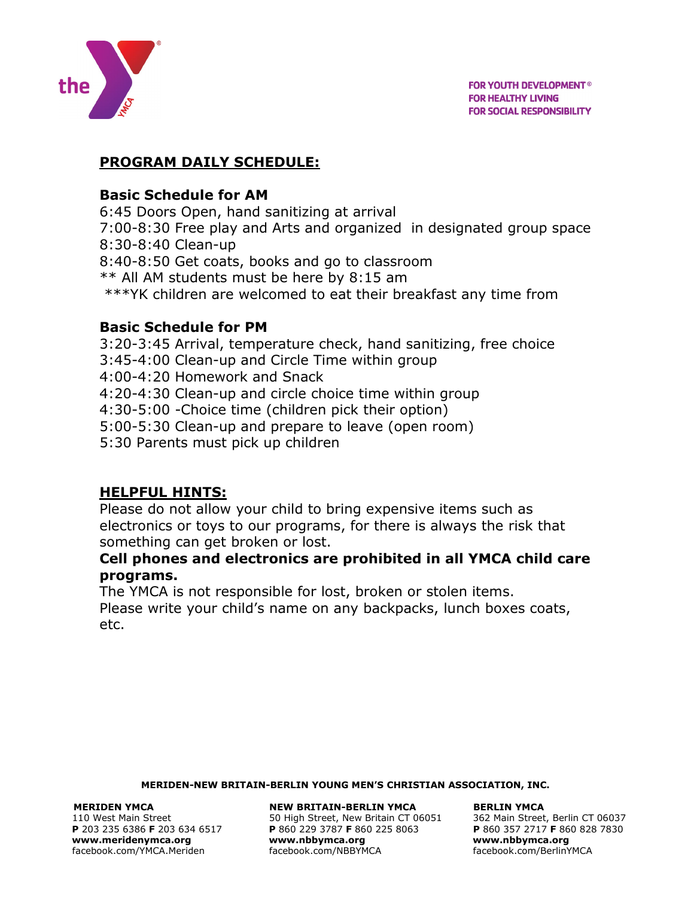

## **PROGRAM DAILY SCHEDULE:**

## **Basic Schedule for AM**

6:45 Doors Open, hand sanitizing at arrival 7:00-8:30 Free play and Arts and organized in designated group space 8:30-8:40 Clean-up 8:40-8:50 Get coats, books and go to classroom \*\* All AM students must be here by 8:15 am \*\*\*YK children are welcomed to eat their breakfast any time from

## **Basic Schedule for PM**

3:20-3:45 Arrival, temperature check, hand sanitizing, free choice 3:45-4:00 Clean-up and Circle Time within group 4:00-4:20 Homework and Snack 4:20-4:30 Clean-up and circle choice time within group 4:30-5:00 -Choice time (children pick their option) 5:00-5:30 Clean-up and prepare to leave (open room) 5:30 Parents must pick up children

# **HELPFUL HINTS:**

Please do not allow your child to bring expensive items such as electronics or toys to our programs, for there is always the risk that something can get broken or lost.

## **Cell phones and electronics are prohibited in all YMCA child care programs.**

The YMCA is not responsible for lost, broken or stolen items. Please write your child's name on any backpacks, lunch boxes coats, etc.

#### **MERIDEN-NEW BRITAIN-BERLIN YOUNG MEN'S CHRISTIAN ASSOCIATION, INC.**

#### **MERIDEN YMCA NEW BRITAIN-BERLIN YMCA BERLIN YMCA**

110 West Main Street 634 6517 50 High Street, New Britain CT 06051 362 Main Street, Berlin CT 06037<br>
110 West Main Street, Berlin CT 06037 5060 925 8063 **P** 860 357 2717 **F** 860 828 7830 **P** 203 235 6386 **F** 203 634 6517 **P** 860 229 3787 **F** 860 225 8063 **P** 860 357 2717 **F** 860 828 7830 **[www.meridenymca.org](http://www.meridenymca.org/) www[.nbbymca.org](http://www.meridenymca.org/) www.nbbymca.org** facebook.com/YMCA.Meriden facebook.com/NBBYMCA facebook.com/BerlinYMCA